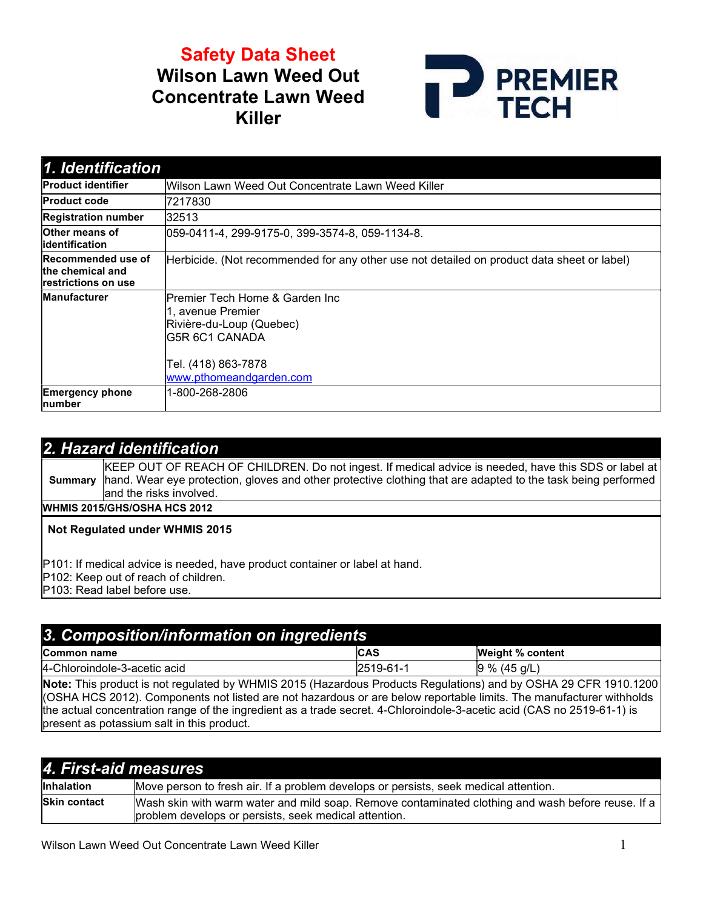Safety Data Sheet Wilson Lawn Weed Out Concentrate Lawn Weed Killer



| 1. Identification                                                    |                                                                                                                                                       |  |  |
|----------------------------------------------------------------------|-------------------------------------------------------------------------------------------------------------------------------------------------------|--|--|
| <b>Product identifier</b>                                            | Wilson Lawn Weed Out Concentrate Lawn Weed Killer                                                                                                     |  |  |
| <b>Product code</b>                                                  | 7217830                                                                                                                                               |  |  |
| <b>Registration number</b>                                           | 32513                                                                                                                                                 |  |  |
| <b>Other means of</b><br>lidentification                             | 059-0411-4, 299-9175-0, 399-3574-8, 059-1134-8.                                                                                                       |  |  |
| Recommended use of<br>the chemical and<br><b>restrictions on use</b> | Herbicide. (Not recommended for any other use not detailed on product data sheet or label)                                                            |  |  |
| <b>Manufacturer</b>                                                  | lPremier Tech Home & Garden Inc<br>1, avenue Premier<br>Rivière-du-Loup (Quebec)<br>IG5R 6C1 CANADA<br>Tel. (418) 863-7878<br>www.pthomeandgarden.com |  |  |
| <b>Emergency phone</b><br>number                                     | 1-800-268-2806                                                                                                                                        |  |  |

## 2. Hazard identification

**Summary** KEEP OUT OF REACH OF CHILDREN. Do not ingest. If medical advice is needed, have this SDS or label at hand. Wear eye protection, gloves and other protective clothing that are adapted to the task being performed and the risks involved. WHMIS 2015/GHS/OSHA HCS 2012

### Not Regulated under WHMIS 2015

- P101: If medical advice is needed, have product container or label at hand.
- P102: Keep out of reach of children.

P103: Read label before use.

## 3. Composition/information on ingredients

| ___<br>__<br>__<br>__<br>___                                                        | ___                                                                                |                                      |
|-------------------------------------------------------------------------------------|------------------------------------------------------------------------------------|--------------------------------------|
| <b>Com</b><br>name<br>non                                                           | $\overline{\phantom{a}}$<br>י הו<br>ICAS                                           | W.<br>/0 خما،<br>% content<br>ш      |
| $ 4-$<br>∿-3-acetic acid<br>Chloroindole-                                           | l25<br>้น<br>. .<br>╵┙<br>ີ                                                        | a/L<br>19<br>%<br>$\mathbf{A}$<br>᠇֊ |
| .<br>the property of the control of the<br>_______<br>the control of the control of | the contract of the contract of the con-<br><b>Contractor</b><br><b>Contractor</b> | the contract of the contract of      |

Note: This product is not regulated by WHMIS 2015 (Hazardous Products Regulations) and by OSHA 29 CFR 1910.1200 (OSHA HCS 2012). Components not listed are not hazardous or are below reportable limits. The manufacturer withholds the actual concentration range of the ingredient as a trade secret. 4-Chloroindole-3-acetic acid (CAS no 2519-61-1) is present as potassium salt in this product.

| 4. First-aid measures |                                                                                                                                                            |  |
|-----------------------|------------------------------------------------------------------------------------------------------------------------------------------------------------|--|
| <b>Inhalation</b>     | Move person to fresh air. If a problem develops or persists, seek medical attention.                                                                       |  |
| <b>Skin contact</b>   | Wash skin with warm water and mild soap. Remove contaminated clothing and wash before reuse. If a<br>problem develops or persists, seek medical attention. |  |

Wilson Lawn Weed Out Concentrate Lawn Weed Killer 1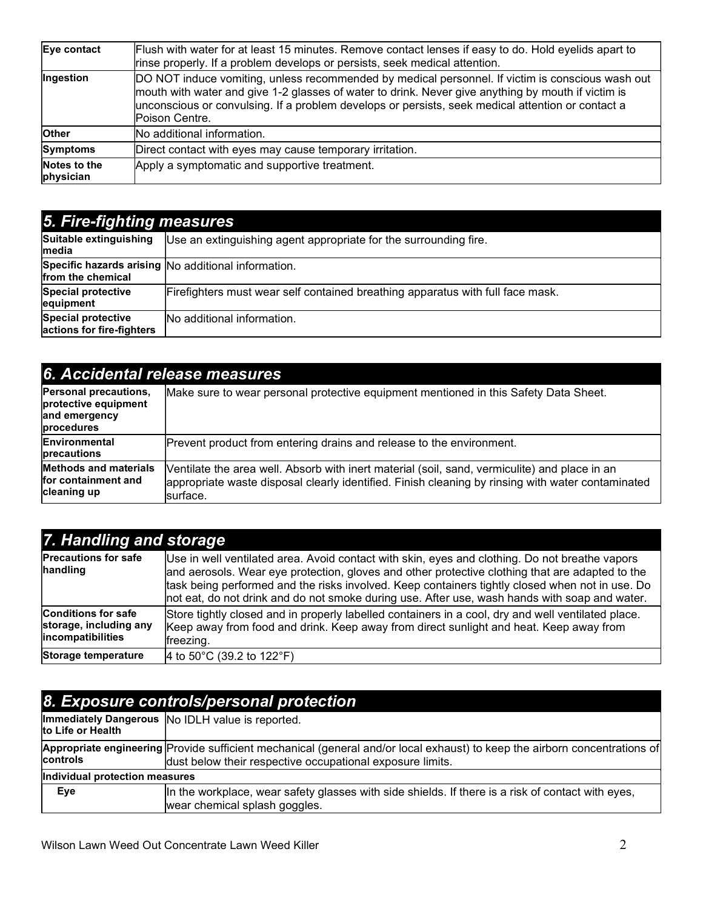| Eye contact               | Flush with water for at least 15 minutes. Remove contact lenses if easy to do. Hold eyelids apart to<br>rinse properly. If a problem develops or persists, seek medical attention.                                                                                                                                            |
|---------------------------|-------------------------------------------------------------------------------------------------------------------------------------------------------------------------------------------------------------------------------------------------------------------------------------------------------------------------------|
| Ingestion                 | DO NOT induce vomiting, unless recommended by medical personnel. If victim is conscious wash out<br>mouth with water and give 1-2 glasses of water to drink. Never give anything by mouth if victim is<br>unconscious or convulsing. If a problem develops or persists, seek medical attention or contact a<br>Poison Centre. |
| <b>Other</b>              | No additional information.                                                                                                                                                                                                                                                                                                    |
| Symptoms                  | Direct contact with eyes may cause temporary irritation.                                                                                                                                                                                                                                                                      |
| Notes to the<br>physician | Apply a symptomatic and supportive treatment.                                                                                                                                                                                                                                                                                 |

| <b>5. Fire-fighting measures</b>                |                                                                                |  |
|-------------------------------------------------|--------------------------------------------------------------------------------|--|
| Suitable extinguishing<br>Imedia                | Use an extinguishing agent appropriate for the surrounding fire.               |  |
| from the chemical                               | Specific hazards arising No additional information.                            |  |
| <b>Special protective</b><br>equipment          | Firefighters must wear self contained breathing apparatus with full face mask. |  |
| Special protective<br>actions for fire-fighters | No additional information.                                                     |  |

| 6. Accidental release measures                                               |                                                                                                                                                                                                                |  |
|------------------------------------------------------------------------------|----------------------------------------------------------------------------------------------------------------------------------------------------------------------------------------------------------------|--|
| Personal precautions,<br>protective equipment<br>and emergency<br>procedures | Make sure to wear personal protective equipment mentioned in this Safety Data Sheet.                                                                                                                           |  |
| <b>Environmental</b><br>precautions                                          | Prevent product from entering drains and release to the environment.                                                                                                                                           |  |
| <b>Methods and materials</b><br>for containment and<br>cleaning up           | Ventilate the area well. Absorb with inert material (soil, sand, vermiculite) and place in an<br>appropriate waste disposal clearly identified. Finish cleaning by rinsing with water contaminated<br>surface. |  |

| 7. Handling and storage                                                   |                                                                                                                                                                                                                                                                                                                                                                                                       |  |
|---------------------------------------------------------------------------|-------------------------------------------------------------------------------------------------------------------------------------------------------------------------------------------------------------------------------------------------------------------------------------------------------------------------------------------------------------------------------------------------------|--|
| <b>Precautions for safe</b><br>handling                                   | Use in well ventilated area. Avoid contact with skin, eyes and clothing. Do not breathe vapors<br>and aerosols. Wear eye protection, gloves and other protective clothing that are adapted to the<br>task being performed and the risks involved. Keep containers tightly closed when not in use. Do<br>not eat, do not drink and do not smoke during use. After use, wash hands with soap and water. |  |
| <b>Conditions for safe</b><br>storage, including any<br>incompatibilities | Store tightly closed and in properly labelled containers in a cool, dry and well ventilated place.<br>Keep away from food and drink. Keep away from direct sunlight and heat. Keep away from<br>freezing.                                                                                                                                                                                             |  |
| Storage temperature                                                       | 4 to 50 $^{\circ}$ C (39.2 to 122 $^{\circ}$ F)                                                                                                                                                                                                                                                                                                                                                       |  |

| 8. Exposure controls/personal protection |                                                                                                                                                                                         |  |  |
|------------------------------------------|-----------------------------------------------------------------------------------------------------------------------------------------------------------------------------------------|--|--|
| to Life or Health                        | Immediately Dangerous  No IDLH value is reported.                                                                                                                                       |  |  |
| <b>controls</b>                          | Appropriate engineering Provide sufficient mechanical (general and/or local exhaust) to keep the airborn concentrations of<br>dust below their respective occupational exposure limits. |  |  |
| Individual protection measures           |                                                                                                                                                                                         |  |  |
| Eye                                      | In the workplace, wear safety glasses with side shields. If there is a risk of contact with eyes,<br>wear chemical splash goggles.                                                      |  |  |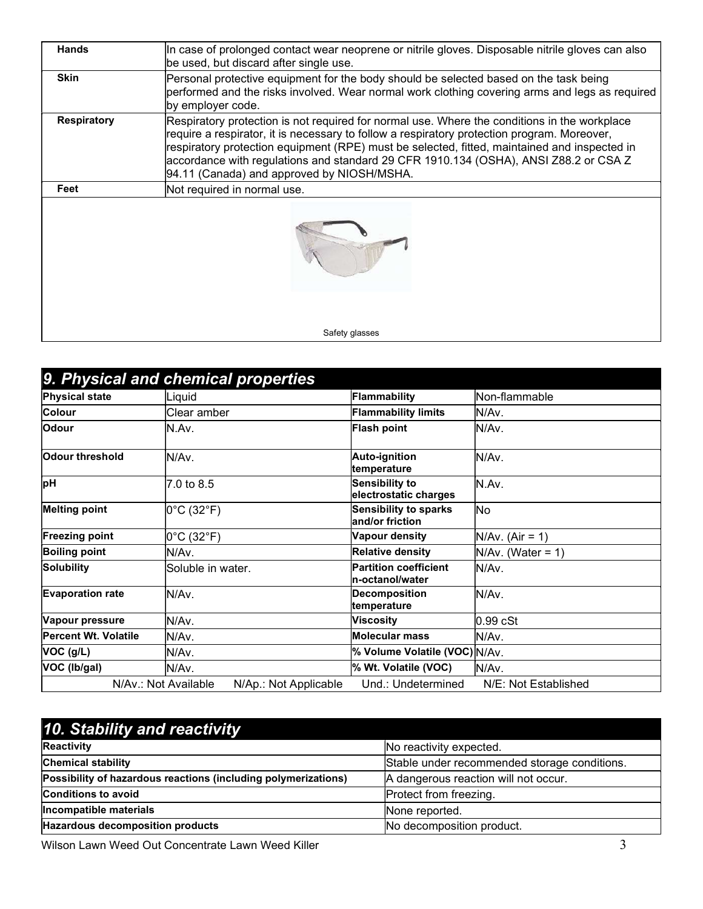| <b>Hands</b>       | In case of prolonged contact wear neoprene or nitrile gloves. Disposable nitrile gloves can also<br>be used, but discard after single use.                                                                                                                                                                                                                                                                                        |  |
|--------------------|-----------------------------------------------------------------------------------------------------------------------------------------------------------------------------------------------------------------------------------------------------------------------------------------------------------------------------------------------------------------------------------------------------------------------------------|--|
| <b>Skin</b>        | Personal protective equipment for the body should be selected based on the task being<br>performed and the risks involved. Wear normal work clothing covering arms and legs as required<br>by employer code.                                                                                                                                                                                                                      |  |
| <b>Respiratory</b> | Respiratory protection is not required for normal use. Where the conditions in the workplace<br>require a respirator, it is necessary to follow a respiratory protection program. Moreover,<br>respiratory protection equipment (RPE) must be selected, fitted, maintained and inspected in<br>accordance with regulations and standard 29 CFR 1910.134 (OSHA), ANSI Z88.2 or CSA Z<br>94.11 (Canada) and approved by NIOSH/MSHA. |  |
| Feet               | Not required in normal use.                                                                                                                                                                                                                                                                                                                                                                                                       |  |
|                    |                                                                                                                                                                                                                                                                                                                                                                                                                                   |  |
|                    | Safety glasses                                                                                                                                                                                                                                                                                                                                                                                                                    |  |

|                             | 9. Physical and chemical properties           |                                                 |                      |
|-----------------------------|-----------------------------------------------|-------------------------------------------------|----------------------|
| <b>Physical state</b>       | Liquid                                        | <b>Flammability</b>                             | Non-flammable        |
| <b>Colour</b>               | Clear amber                                   | <b>Flammability limits</b>                      | lN/Av.               |
| <b>Odour</b>                | N.Av.                                         | <b>Flash point</b>                              | N/Av.                |
| Odour threshold             | N/Av.                                         | Auto-ignition<br>temperature                    | IN/Av.               |
| þН                          | 7.0 to 8.5                                    | <b>Sensibility to</b><br>electrostatic charges  | IN.Av.               |
| <b>Melting point</b>        | $0^{\circ}$ C (32 $^{\circ}$ F)               | <b>Sensibility to sparks</b><br>and/or friction | No                   |
| <b>Freezing point</b>       | $0^{\circ}$ C (32 $^{\circ}$ F)               | Vapour density                                  | $N/Av.$ (Air = 1)    |
| <b>Boiling point</b>        | N/Av.                                         | <b>Relative density</b>                         | $N/Av.$ (Water = 1)  |
| <b>Solubility</b>           | Soluble in water.                             | <b>Partition coefficient</b><br>n-octanol/water | IN/Av.               |
| <b>Evaporation rate</b>     | N/Av.                                         | <b>Decomposition</b><br>temperature             | N/Av.                |
| Vapour pressure             | N/Av.                                         | Viscosity                                       | 0.99 cSt             |
| <b>Percent Wt. Volatile</b> | N/Av.                                         | <b>Molecular mass</b>                           | N/Av.                |
| VOC (g/L)                   | N/Av.<br>% Volume Volatile (VOC) N/Av.        |                                                 |                      |
| VOC (Ib/gal)                | N/Av.                                         | % Wt. Volatile (VOC)                            | N/Av.                |
|                             | N/Av.: Not Available<br>N/Ap.: Not Applicable | Und.: Undetermined                              | N/E: Not Established |

| 10. Stability and reactivity                                   |                                              |  |
|----------------------------------------------------------------|----------------------------------------------|--|
| Reactivity                                                     | No reactivity expected.                      |  |
| <b>Chemical stability</b>                                      | Stable under recommended storage conditions. |  |
| Possibility of hazardous reactions (including polymerizations) | A dangerous reaction will not occur.         |  |
| <b>Conditions to avoid</b>                                     | Protect from freezing.                       |  |
| Incompatible materials                                         | None reported.                               |  |
| Hazardous decomposition products                               | No decomposition product.                    |  |

Wilson Lawn Weed Out Concentrate Lawn Weed Killer 3 3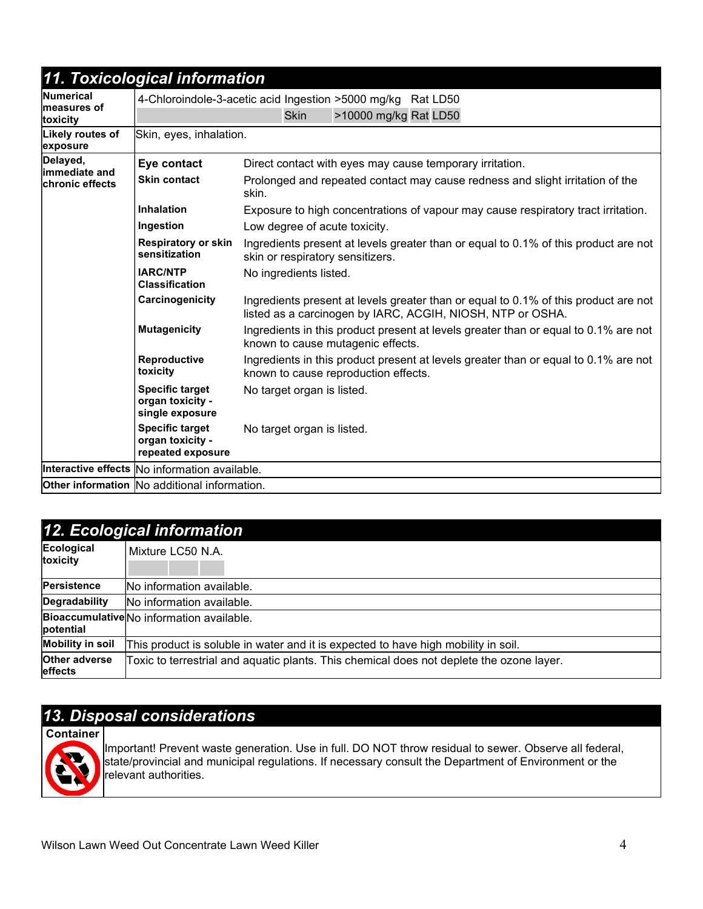| 11. Toxicological information                |                                                                 |                                                                                                                                                   |  |
|----------------------------------------------|-----------------------------------------------------------------|---------------------------------------------------------------------------------------------------------------------------------------------------|--|
| Numerical                                    |                                                                 | 4-Chloroindole-3-acetic acid Ingestion >5000 mg/kg Rat LD50                                                                                       |  |
| <b>Imeasures of</b><br>toxicity              |                                                                 | >10000 mg/kg Rat LD50<br><b>Skin</b>                                                                                                              |  |
| Likely routes of<br>exposure                 | Skin, eyes, inhalation.                                         |                                                                                                                                                   |  |
| Delayed,<br>limmediate and                   | Eye contact                                                     | Direct contact with eyes may cause temporary irritation.                                                                                          |  |
| <b>chronic effects</b>                       | <b>Skin contact</b>                                             | Prolonged and repeated contact may cause redness and slight irritation of the<br>skin.                                                            |  |
|                                              | <b>Inhalation</b>                                               | Exposure to high concentrations of vapour may cause respiratory tract irritation.                                                                 |  |
|                                              | Ingestion                                                       | Low degree of acute toxicity.                                                                                                                     |  |
|                                              | <b>Respiratory or skin</b><br>sensitization                     | Ingredients present at levels greater than or equal to 0.1% of this product are not<br>skin or respiratory sensitizers.                           |  |
|                                              | <b>IARC/NTP</b><br><b>Classification</b>                        | No ingredients listed.                                                                                                                            |  |
|                                              | Carcinogenicity                                                 | Ingredients present at levels greater than or equal to 0.1% of this product are not<br>listed as a carcinogen by IARC, ACGIH, NIOSH, NTP or OSHA. |  |
|                                              | <b>Mutagenicity</b>                                             | Ingredients in this product present at levels greater than or equal to 0.1% are not<br>known to cause mutagenic effects.                          |  |
|                                              | Reproductive<br>toxicity                                        | Ingredients in this product present at levels greater than or equal to 0.1% are not<br>known to cause reproduction effects.                       |  |
|                                              | <b>Specific target</b><br>organ toxicity -<br>single exposure   | No target organ is listed.                                                                                                                        |  |
|                                              | <b>Specific target</b><br>organ toxicity -<br>repeated exposure | No target organ is listed.                                                                                                                        |  |
|                                              | Interactive effects No information available.                   |                                                                                                                                                   |  |
| Other information No additional information. |                                                                 |                                                                                                                                                   |  |

|                                        | 12. Ecological information                                                               |
|----------------------------------------|------------------------------------------------------------------------------------------|
| Ecological<br>toxicity                 | Mixture LC50 N.A.                                                                        |
| Persistence                            | No information available.                                                                |
| Degradability                          | No information available.                                                                |
| potential                              | Bioaccumulative No information available.                                                |
| <b>Mobility in soil</b>                | This product is soluble in water and it is expected to have high mobility in soil.       |
| <b>Other adverse</b><br><b>effects</b> | Toxic to terrestrial and aquatic plants. This chemical does not deplete the ozone layer. |

# 13. Disposal considerations

Container

Important! Prevent waste generation. Use in full. DO NOT throw residual to sewer. Observe all federal, state/provincial and municipal regulations. If necessary consult the Department of Environment or the relevant authorities.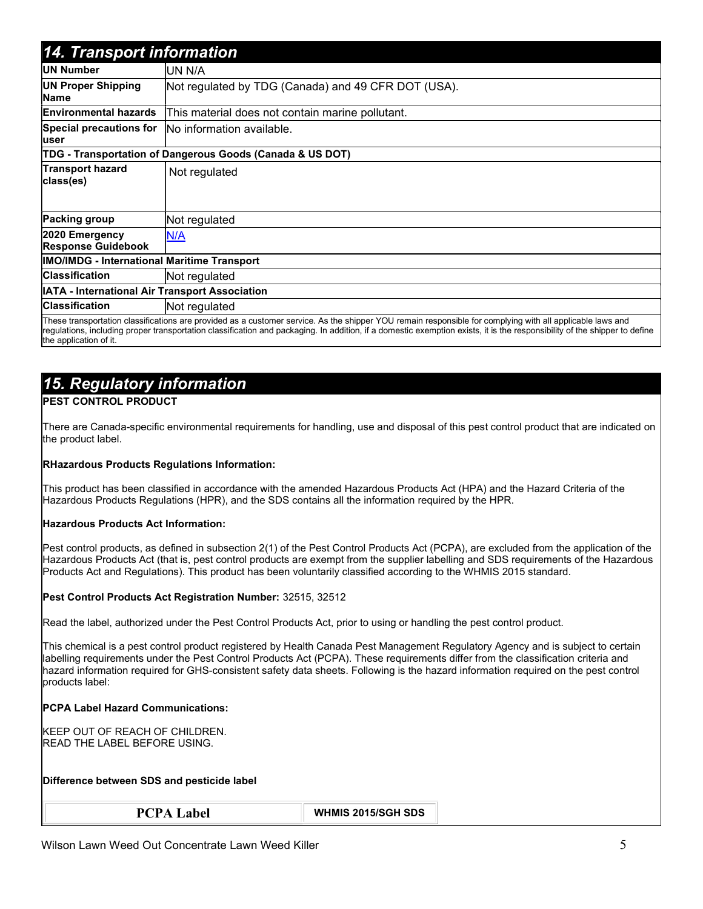| 14. Transport information                          |                                                                                                                                                                                                                                                                                                                                        |  |  |  |  |  |
|----------------------------------------------------|----------------------------------------------------------------------------------------------------------------------------------------------------------------------------------------------------------------------------------------------------------------------------------------------------------------------------------------|--|--|--|--|--|
| <b>UN Number</b>                                   | UN N/A                                                                                                                                                                                                                                                                                                                                 |  |  |  |  |  |
| <b>UN Proper Shipping</b><br>Name                  | Not regulated by TDG (Canada) and 49 CFR DOT (USA).                                                                                                                                                                                                                                                                                    |  |  |  |  |  |
| <b>Environmental hazards</b>                       | This material does not contain marine pollutant.                                                                                                                                                                                                                                                                                       |  |  |  |  |  |
| <b>Special precautions for</b><br>user             | No information available.                                                                                                                                                                                                                                                                                                              |  |  |  |  |  |
|                                                    | TDG - Transportation of Dangerous Goods (Canada & US DOT)                                                                                                                                                                                                                                                                              |  |  |  |  |  |
| <b>Transport hazard</b><br>class(es)               | Not regulated                                                                                                                                                                                                                                                                                                                          |  |  |  |  |  |
| <b>Packing group</b>                               | Not regulated                                                                                                                                                                                                                                                                                                                          |  |  |  |  |  |
| 2020 Emergency<br><b>Response Guidebook</b>        | N/A                                                                                                                                                                                                                                                                                                                                    |  |  |  |  |  |
| <b>IMO/IMDG - International Maritime Transport</b> |                                                                                                                                                                                                                                                                                                                                        |  |  |  |  |  |
| <b>Classification</b>                              | Not regulated                                                                                                                                                                                                                                                                                                                          |  |  |  |  |  |
| IATA - International Air Transport Association     |                                                                                                                                                                                                                                                                                                                                        |  |  |  |  |  |
| <b>Classification</b>                              | Not regulated                                                                                                                                                                                                                                                                                                                          |  |  |  |  |  |
|                                                    | These transportation classifications are provided as a customer service. As the shipper YOU remain responsible for complying with all applicable laws and<br>regulations, including proper transportation classification and packaging. In addition, if a domestic exemption exists, it is the responsibility of the shipper to define |  |  |  |  |  |

the application of it.

## 15. Regulatory information

#### PEST CONTROL PRODUCT

There are Canada-specific environmental requirements for handling, use and disposal of this pest control product that are indicated on the product label.

#### RHazardous Products Regulations Information:

This product has been classified in accordance with the amended Hazardous Products Act (HPA) and the Hazard Criteria of the Hazardous Products Regulations (HPR), and the SDS contains all the information required by the HPR.

#### Hazardous Products Act Information:

Pest control products, as defined in subsection 2(1) of the Pest Control Products Act (PCPA), are excluded from the application of the Hazardous Products Act (that is, pest control products are exempt from the supplier labelling and SDS requirements of the Hazardous Products Act and Regulations). This product has been voluntarily classified according to the WHMIS 2015 standard.

#### Pest Control Products Act Registration Number: 32515, 32512

Read the label, authorized under the Pest Control Products Act, prior to using or handling the pest control product.

This chemical is a pest control product registered by Health Canada Pest Management Regulatory Agency and is subject to certain labelling requirements under the Pest Control Products Act (PCPA). These requirements differ from the classification criteria and hazard information required for GHS-consistent safety data sheets. Following is the hazard information required on the pest control products label:

#### PCPA Label Hazard Communications:

KEEP OUT OF REACH OF CHILDREN. READ THE LABEL BEFORE USING.

#### Difference between SDS and pesticide label

PCPA Label WHMIS 2015/SGH SDS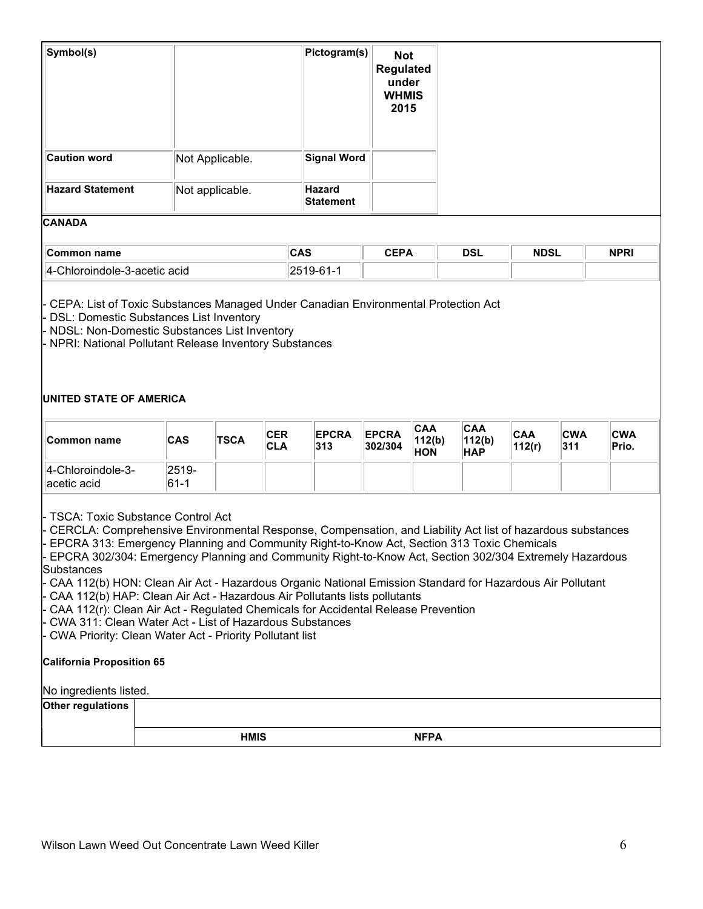| Symbol(s)                                      |                                                                                                                                                                                                   | Pictogram(s) | <b>Not</b><br><b>Regulated</b><br>under<br><b>WHMIS</b><br>2015 |            |             |             |
|------------------------------------------------|---------------------------------------------------------------------------------------------------------------------------------------------------------------------------------------------------|--------------|-----------------------------------------------------------------|------------|-------------|-------------|
| <b>Caution word</b>                            | Not Applicable.                                                                                                                                                                                   |              | <b>Signal Word</b>                                              |            |             |             |
| <b>Hazard Statement</b>                        | Not applicable.                                                                                                                                                                                   |              |                                                                 |            |             |             |
| <b>CANADA</b>                                  |                                                                                                                                                                                                   |              |                                                                 |            |             |             |
| Common name                                    |                                                                                                                                                                                                   | CAS          | <b>CEPA</b>                                                     | <b>DSL</b> | <b>NDSL</b> | <b>NPRI</b> |
| 4-Chloroindole-3-acetic acid                   |                                                                                                                                                                                                   | 2519-61-1    |                                                                 |            |             |             |
| <b>DSL: Domestic Substances List Inventory</b> | · CEPA: List of Toxic Substances Managed Under Canadian Environmental Protection Act<br>- NDSL: Non-Domestic Substances List Inventory<br>- NPRI: National Pollutant Release Inventory Substances |              |                                                                 |            |             |             |

#### UNITED STATE OF AMERICA

| ∐Common name                      | CAS                 | <b>TSCA</b> | <b>CER</b><br>∣CLA | <b>EPCRA</b><br>313 | <b>EPCRA</b><br>302/304 | <b>CAA</b><br>112(b)<br><b>HON</b> | <b>CAA</b><br>112(b)<br><b>HAP</b> | <b>CAA</b><br>112(r) | ICWA<br>311 | <b>CWA</b><br>Prio. |
|-----------------------------------|---------------------|-------------|--------------------|---------------------|-------------------------|------------------------------------|------------------------------------|----------------------|-------------|---------------------|
| 4-Chloroindole-3-<br>∥acetic acid | $2519 -$<br>$ 61-1$ |             |                    |                     |                         |                                    |                                    |                      |             |                     |

- TSCA: Toxic Substance Control Act

- CERCLA: Comprehensive Environmental Response, Compensation, and Liability Act list of hazardous substances EPCRA 313: Emergency Planning and Community Right-to-Know Act, Section 313 Toxic Chemicals

EPCRA 302/304: Emergency Planning and Community Right-to-Know Act, Section 302/304 Extremely Hazardous Substances

CAA 112(b) HON: Clean Air Act - Hazardous Organic National Emission Standard for Hazardous Air Pollutant

- CAA 112(b) HAP: Clean Air Act - Hazardous Air Pollutants lists pollutants

CAA 112(r): Clean Air Act - Regulated Chemicals for Accidental Release Prevention

- CWA 311: Clean Water Act - List of Hazardous Substances

- CWA Priority: Clean Water Act - Priority Pollutant list

#### California Proposition 65

#### No ingredients listed.

Other regulations

HMIS NFPA